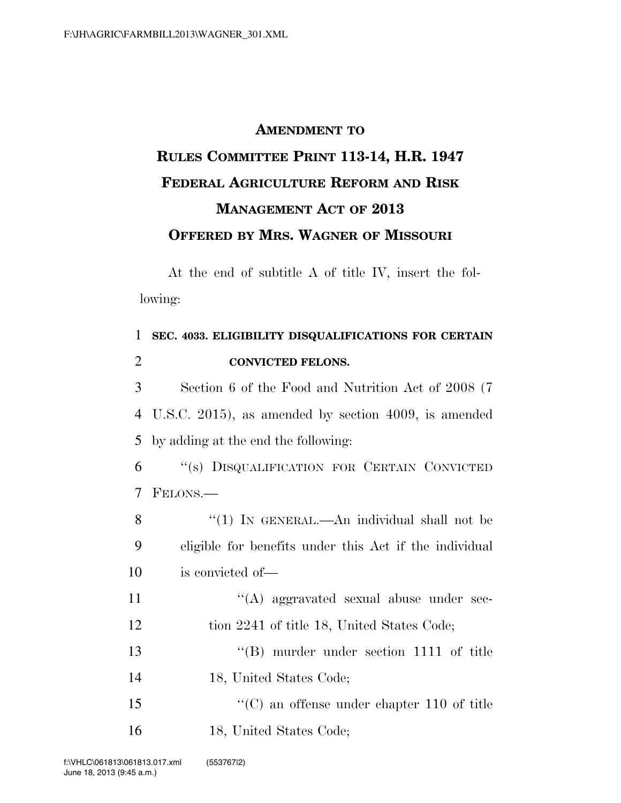## **AMENDMENT TO RULES COMMITTEE PRINT 113-14, H.R. 1947 FEDERAL AGRICULTURE REFORM AND RISK MANAGEMENT ACT OF 2013 OFFERED BY MRS. WAGNER OF MISSOURI**

At the end of subtitle A of title IV, insert the following:

| 1              | SEC. 4033. ELIGIBILITY DISQUALIFICATIONS FOR CERTAIN   |
|----------------|--------------------------------------------------------|
| $\overline{2}$ | <b>CONVICTED FELONS.</b>                               |
| 3              | Section 6 of the Food and Nutrition Act of 2008 (7)    |
| 4              | U.S.C. 2015), as amended by section 4009, is amended   |
| 5              | by adding at the end the following:                    |
| 6              | "(s) DISQUALIFICATION FOR CERTAIN CONVICTED            |
| 7              | FELONS.—                                               |
| 8              | "(1) IN GENERAL.—An individual shall not be            |
| 9              | eligible for benefits under this Act if the individual |
| 10             | is convicted of—                                       |
| 11             | $\lq\lq$ aggravated sexual abuse under sec-            |
| 12             | tion 2241 of title 18, United States Code;             |
| 13             | $\lq\lq (B)$ murder under section 1111 of title        |
| 14             | 18, United States Code;                                |
| 15             | $\cdot\cdot$ (C) an offense under chapter 110 of title |
| 16             | 18, United States Code;                                |